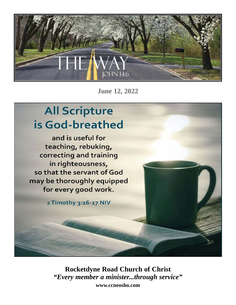

**June 12, 2022**

# **All Scripture** is God-breathed

and is useful for teaching, rebuking, correcting and training in righteousness, so that the servant of God may be thoroughly equipped for every good work.

2 Timothy 3:16-17 NIV

**Rocketdyne Road Church of Christ** *"Every member a minister...through service"* **www.ccneosho.com**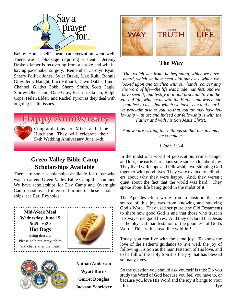

Bobby Hounschell's heart catheterization went well. There was a blockage requiring a stent. Jeremy Drake's father is recovering from a stroke and will be having pacemaker surgery. Remember Carolyn Ryan, Sherry Pollick Jones, Syler Drake, Max Ruhl, Bonnie Gray, Jerry Haught, Luci Hilliard, Dawn Dabbs, Linda Channel, Gladys Cobb, Sherry Smith, Scott Cagle, Shirley Obenshain, Dale Gray, Brian Deckman, Ralph Cope, Helen Elder, and Rachel Pyron as they deal with ongoing health issues.



## **Green Valley Bible Camp Scholarships Available**

There are some scholarships available for those who want to attend Green Valley Bible Camp this summer. We have scholarships for Day Camp and Overnight Camp sessions. If interested in one of these scholarships, see Earl Reynolds.





**Nathan Anderson Wyatt Burns Garret Douglas Jackson Schriever**



## **The Way**

*That which was from the beginning, which we have heard, which we have seen with our eyes, which we looked upon and touched with our hands, concerning the word of life—the life was made manifest, and we have seen it, and testify to it and proclaim to you the eternal life, which was with the Father and was made manifest to us—that which we have seen and heard we proclaim also to you, so that you too may have fellowship with us; and indeed our fellowship is with the Father and with his Son Jesus Christ.* 

*And we are writing these things so that our joy may be complete.*

#### *1 John 1:1-4*

In the midst of a world of persecution, crime, danger and loss, the early Christians sure spoke a lot about joy. They lived with hope and fellowship, worshipping God together with good lives. They were excited to tell others about why they were happy. And, they weren't quiet about the fact that the world was hard. They spoke about life being good in the midst of it.

The Apostles often wrote from a position that the source of this joy was from knowing and studying God's Word. They used scripture (the Old Testament) to share how good God is and that those who trust in His ways live good lives. And they declared that Jesus is the physical manifestation of the goodness of God's Word. This truth spread like wildfire!

Today, you can live with the same joy. To know the love of the Father's guidance to live well, the joy of following His Son as the manifestation of His love, and to be full of the Holy Spirit is the joy that has blessed so many lives.

So the question you should ask yourself is this: Do you study the Word of God because you feel you have to, or because you love His Word and the joy it brings to your life? Tye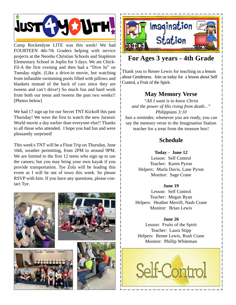

Camp Rocketdyne LITE was this week! We had FOURTEEN 4th-7th Graders helping with service projects at the Neosho Christian Schools and Stapleton Elementary School in Joplin for 3 days. We ate Chick-Fil-A the first evening and then had a "Dive In" on Tuesday night. (Like a drive-in movie, but watching from inflatable swimming pools filled with pillows and blankets instead of the back of cars since they are tweens and can't drive!) So much fun and hard work from both our teens and tweens the past two weeks!! [Photos below]

We had 17 sign up for our Secret TNT Kickoff this past Thursday! We were the first to watch the new Jurassic World movie a day earlier than everyone else!! Thanks to all those who attended. I hope you had fun and were pleasantly surprised!

This week's TNT will be a Float Trip on Thursday, June 16th, weather permitting, from 2PM to around 9PM. We are limited to the first 12 teens who sign up to use the canoes; but you may bring your own kayak if you provide transportation. Tye Zola will be leading this event as I will be out of town this week. So please RSVP with him. If you have any questions, please contact Tye.











# **For Ages 3 years - 4th Grade**

Thank you to Renee Lewis for teaching us a lesson about Gentleness. Join us today for a lesson about Self Control, a Fruit of the Spirit.

## **May Memory Verse**

*"All I want is to know Christ and the power of His rising from death..." Philippians 3:10*

Just a reminder, whenever you are ready, you can say the memory verse to the Imagination Station teacher for a treat from the treasure box!

## **Schedule**

**Today - June 12**

Lesson: Self Control Teacher: Karen Pyron Helpers: Marla Davis, Lane Pyron Monitor: Sage Crane

**June 19**

Lesson: Self Control Teacher: Megan Ryan Helpers: Heather Merrill, Nash Crane Monitor: Brian Lewis

**June 26**

Lesson: Fruits of the Spirit Teacher: Laura Stipp Helpers: Renee Lewis, Rush Crane Monitor: Phillip Whiteman